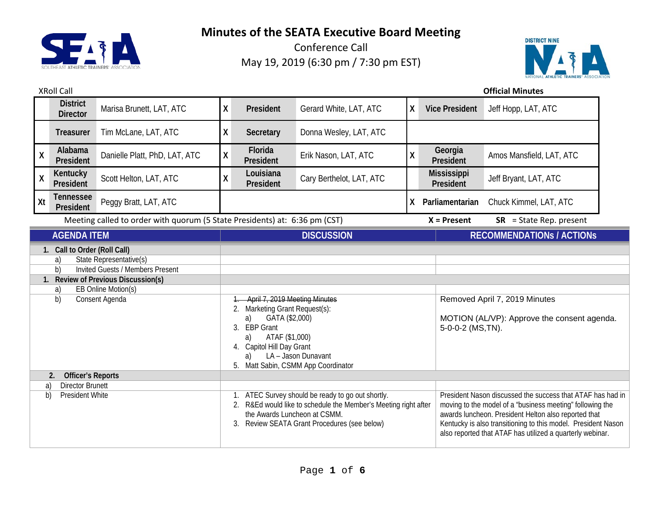

Conference Call May 19, 2019 (6:30 pm / 7:30 pm EST)



#### XRoll Call **Official Minutes**

|                                                                                                                                                                                                            | <b>District</b><br><b>Director</b> | Marisa Brunett, LAT, ATC                                                                                                                                                                          | χ                                                                                                                                                                                                                                   | President              | Gerard White, LAT, ATC   | X                                                                                                                                                                                                                                                                                                             | <b>Vice President</b>                                                        | Jeff Hopp, LAT, ATC       |
|------------------------------------------------------------------------------------------------------------------------------------------------------------------------------------------------------------|------------------------------------|---------------------------------------------------------------------------------------------------------------------------------------------------------------------------------------------------|-------------------------------------------------------------------------------------------------------------------------------------------------------------------------------------------------------------------------------------|------------------------|--------------------------|---------------------------------------------------------------------------------------------------------------------------------------------------------------------------------------------------------------------------------------------------------------------------------------------------------------|------------------------------------------------------------------------------|---------------------------|
|                                                                                                                                                                                                            | <b>Treasurer</b>                   | Tim McLane, LAT, ATC                                                                                                                                                                              | χ                                                                                                                                                                                                                                   | Secretary              | Donna Wesley, LAT, ATC   |                                                                                                                                                                                                                                                                                                               |                                                                              |                           |
| $\pmb{\mathsf{X}}$                                                                                                                                                                                         | Alabama<br>President               | Danielle Platt, PhD, LAT, ATC                                                                                                                                                                     | Χ                                                                                                                                                                                                                                   | Florida<br>President   | Erik Nason, LAT, ATC     | χ                                                                                                                                                                                                                                                                                                             | Georgia<br>President                                                         | Amos Mansfield, LAT, ATC  |
| $\mathsf{X}$                                                                                                                                                                                               | Kentucky<br>President              | Scott Helton, LAT, ATC                                                                                                                                                                            | Χ                                                                                                                                                                                                                                   | Louisiana<br>President | Cary Berthelot, LAT, ATC |                                                                                                                                                                                                                                                                                                               | <b>Mississippi</b><br>President                                              | Jeff Bryant, LAT, ATC     |
| Xt                                                                                                                                                                                                         | <b>Tennessee</b><br>President      | Peggy Bratt, LAT, ATC                                                                                                                                                                             |                                                                                                                                                                                                                                     |                        |                          | X.                                                                                                                                                                                                                                                                                                            | Parliamentarian                                                              | Chuck Kimmel, LAT, ATC    |
| Meeting called to order with quorum (5 State Presidents) at: 6:36 pm (CST)                                                                                                                                 |                                    |                                                                                                                                                                                                   |                                                                                                                                                                                                                                     |                        |                          |                                                                                                                                                                                                                                                                                                               | $X =$ Present                                                                | $SR = State Rep. present$ |
| <b>AGENDA ITEM</b>                                                                                                                                                                                         |                                    |                                                                                                                                                                                                   | <b>DISCUSSION</b>                                                                                                                                                                                                                   |                        |                          |                                                                                                                                                                                                                                                                                                               | <b>RECOMMENDATIONS / ACTIONS</b>                                             |                           |
| 1. Call to Order (Roll Call)<br>State Representative(s)<br>a)<br><b>Invited Guests / Members Present</b><br>b)<br>1. Review of Previous Discussion(s)<br>EB Online Motion(s)<br>a)<br>Consent Agenda<br>b) |                                    |                                                                                                                                                                                                   | April 7, 2019 Meeting Minutes<br>2. Marketing Grant Request(s):<br>GATA (\$2,000)<br>a)<br>3. EBP Grant<br>ATAF (\$1,000)<br>a)<br>4. Capitol Hill Day Grant<br>LA - Jason Dunavant<br>a)<br>Matt Sabin, CSMM App Coordinator<br>5. |                        |                          | 5-0-0-2 (MS,TN).                                                                                                                                                                                                                                                                                              | Removed April 7, 2019 Minutes<br>MOTION (AL/VP): Approve the consent agenda. |                           |
| <b>Officer's Reports</b><br>2.<br><b>Director Brunett</b><br>a)<br>b)<br>President White                                                                                                                   |                                    | 1. ATEC Survey should be ready to go out shortly.<br>R&Ed would like to schedule the Member's Meeting right after<br>the Awards Luncheon at CSMM.<br>3. Review SEATA Grant Procedures (see below) |                                                                                                                                                                                                                                     |                        |                          | President Nason discussed the success that ATAF has had in<br>moving to the model of a "business meeting" following the<br>awards luncheon. President Helton also reported that<br>Kentucky is also transitioning to this model. President Nason<br>also reported that ATAF has utilized a quarterly webinar. |                                                                              |                           |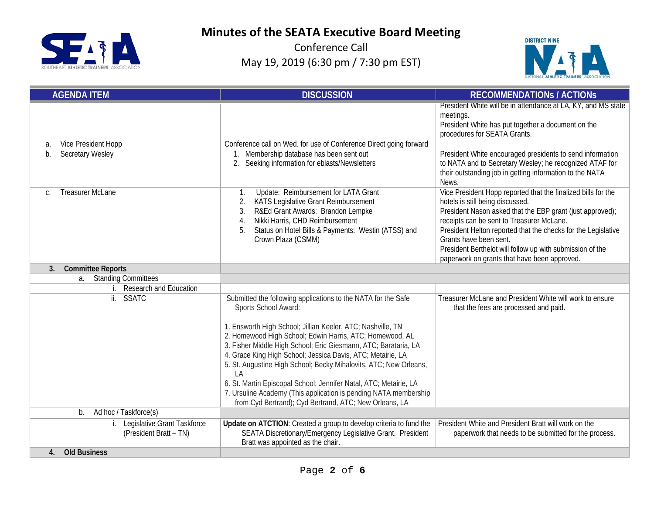



| <b>AGENDA ITEM</b>                                    | <b>DISCUSSION</b>                                                                                                                                                                                                                                                                                                                                                                                                                                                                                                                                                                                                                | <b>RECOMMENDATIONS / ACTIONS</b>                                                                                                                                                                                                                                                                                                                                                                                    |
|-------------------------------------------------------|----------------------------------------------------------------------------------------------------------------------------------------------------------------------------------------------------------------------------------------------------------------------------------------------------------------------------------------------------------------------------------------------------------------------------------------------------------------------------------------------------------------------------------------------------------------------------------------------------------------------------------|---------------------------------------------------------------------------------------------------------------------------------------------------------------------------------------------------------------------------------------------------------------------------------------------------------------------------------------------------------------------------------------------------------------------|
|                                                       |                                                                                                                                                                                                                                                                                                                                                                                                                                                                                                                                                                                                                                  | President White will be in attendance at LA, KY, and MS state<br>meetings.<br>President White has put together a document on the<br>procedures for SEATA Grants.                                                                                                                                                                                                                                                    |
| Vice President Hopp<br>a.                             | Conference call on Wed. for use of Conference Direct going forward                                                                                                                                                                                                                                                                                                                                                                                                                                                                                                                                                               |                                                                                                                                                                                                                                                                                                                                                                                                                     |
| <b>Secretary Wesley</b><br>$b$ .                      | Membership database has been sent out<br>$1_{\cdot}$<br>2. Seeking information for eblasts/Newsletters                                                                                                                                                                                                                                                                                                                                                                                                                                                                                                                           | President White encouraged presidents to send information<br>to NATA and to Secretary Wesley; he recognized ATAF for<br>their outstanding job in getting information to the NATA<br>News.                                                                                                                                                                                                                           |
| <b>Treasurer McLane</b><br>$\mathsf{C}$ .             | Update: Reimbursement for LATA Grant<br>1.<br>KATS Legislative Grant Reimbursement<br>2.<br>R&Ed Grant Awards: Brandon Lempke<br>3.<br>Nikki Harris, CHD Reimbursement<br>4.<br>Status on Hotel Bills & Payments: Westin (ATSS) and<br>5.<br>Crown Plaza (CSMM)                                                                                                                                                                                                                                                                                                                                                                  | Vice President Hopp reported that the finalized bills for the<br>hotels is still being discussed.<br>President Nason asked that the EBP grant (just approved);<br>receipts can be sent to Treasurer McLane.<br>President Helton reported that the checks for the Legislative<br>Grants have been sent.<br>President Berthelot will follow up with submission of the<br>paperwork on grants that have been approved. |
| 3.<br><b>Committee Reports</b>                        |                                                                                                                                                                                                                                                                                                                                                                                                                                                                                                                                                                                                                                  |                                                                                                                                                                                                                                                                                                                                                                                                                     |
| <b>Standing Committees</b><br>a.                      |                                                                                                                                                                                                                                                                                                                                                                                                                                                                                                                                                                                                                                  |                                                                                                                                                                                                                                                                                                                                                                                                                     |
| <b>Research and Education</b>                         |                                                                                                                                                                                                                                                                                                                                                                                                                                                                                                                                                                                                                                  |                                                                                                                                                                                                                                                                                                                                                                                                                     |
| $\overline{\mathbf{ii}}$ .<br>SSATC                   | Submitted the following applications to the NATA for the Safe<br>Sports School Award:<br>1. Ensworth High School; Jillian Keeler, ATC; Nashville, TN<br>2. Homewood High School; Edwin Harris, ATC; Homewood, AL<br>3. Fisher Middle High School; Eric Giesmann, ATC; Barataria, LA<br>4. Grace King High School; Jessica Davis, ATC; Metairie, LA<br>5. St. Augustine High School; Becky Mihalovits, ATC; New Orleans,<br>LA<br>6. St. Martin Episcopal School; Jennifer Natal, ATC; Metairie, LA<br>7. Ursuline Academy (This application is pending NATA membership<br>from Cyd Bertrand); Cyd Bertrand, ATC; New Orleans, LA | Treasurer McLane and President White will work to ensure<br>that the fees are processed and paid.                                                                                                                                                                                                                                                                                                                   |
| Ad hoc / Taskforce(s)<br>b.                           |                                                                                                                                                                                                                                                                                                                                                                                                                                                                                                                                                                                                                                  |                                                                                                                                                                                                                                                                                                                                                                                                                     |
| Legislative Grant Taskforce<br>(President Bratt - TN) | Update on ATCTION: Created a group to develop criteria to fund the<br>SEATA Discretionary/Emergency Legislative Grant. President<br>Bratt was appointed as the chair.                                                                                                                                                                                                                                                                                                                                                                                                                                                            | President White and President Bratt will work on the<br>paperwork that needs to be submitted for the process.                                                                                                                                                                                                                                                                                                       |
| <b>Old Business</b><br>$\mathbf{4}$                   |                                                                                                                                                                                                                                                                                                                                                                                                                                                                                                                                                                                                                                  |                                                                                                                                                                                                                                                                                                                                                                                                                     |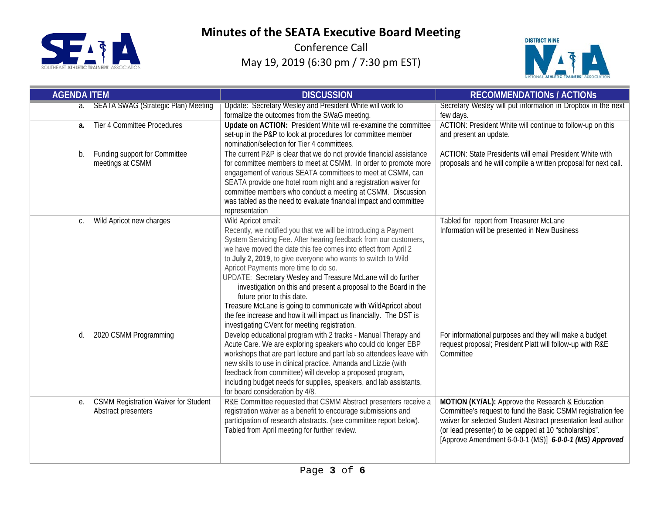



| <b>AGENDA ITEM</b> |                                             | <b>DISCUSSION</b>                                                                                                            | <b>RECOMMENDATIONS / ACTIONS</b>                                |
|--------------------|---------------------------------------------|------------------------------------------------------------------------------------------------------------------------------|-----------------------------------------------------------------|
|                    | a. SEATA SWAG (Strategic Plan) Meeting      | Update: Secretary Wesley and President White will work to                                                                    | Secretary Wesley will put information in Dropbox in the next    |
|                    |                                             | formalize the outcomes from the SWaG meeting.                                                                                | few days.                                                       |
| a.                 | <b>Tier 4 Committee Procedures</b>          | Update on ACTION: President White will re-examine the committee                                                              | ACTION: President White will continue to follow-up on this      |
|                    |                                             | set-up in the P&P to look at procedures for committee member<br>nomination/selection for Tier 4 committees.                  | and present an update.                                          |
| b.                 | Funding support for Committee               | The current P&P is clear that we do not provide financial assistance                                                         | ACTION: State Presidents will email President White with        |
|                    | meetings at CSMM                            | for committee members to meet at CSMM. In order to promote more                                                              | proposals and he will compile a written proposal for next call. |
|                    |                                             | engagement of various SEATA committees to meet at CSMM, can                                                                  |                                                                 |
|                    |                                             | SEATA provide one hotel room night and a registration waiver for                                                             |                                                                 |
|                    |                                             | committee members who conduct a meeting at CSMM. Discussion                                                                  |                                                                 |
|                    |                                             | was tabled as the need to evaluate financial impact and committee                                                            |                                                                 |
|                    |                                             | representation                                                                                                               |                                                                 |
| C.                 | Wild Apricot new charges                    | Wild Apricot email:                                                                                                          | Tabled for report from Treasurer McLane                         |
|                    |                                             | Recently, we notified you that we will be introducing a Payment                                                              | Information will be presented in New Business                   |
|                    |                                             | System Servicing Fee. After hearing feedback from our customers,                                                             |                                                                 |
|                    |                                             | we have moved the date this fee comes into effect from April 2                                                               |                                                                 |
|                    |                                             | to July 2, 2019, to give everyone who wants to switch to Wild<br>Apricot Payments more time to do so.                        |                                                                 |
|                    |                                             | UPDATE: Secretary Wesley and Treasure McLane will do further                                                                 |                                                                 |
|                    |                                             | investigation on this and present a proposal to the Board in the                                                             |                                                                 |
|                    |                                             | future prior to this date.                                                                                                   |                                                                 |
|                    |                                             | Treasure McLane is going to communicate with WildApricot about                                                               |                                                                 |
|                    |                                             | the fee increase and how it will impact us financially. The DST is                                                           |                                                                 |
|                    |                                             | investigating CVent for meeting registration.                                                                                |                                                                 |
| d.                 | 2020 CSMM Programming                       | Develop educational program with 2 tracks - Manual Therapy and                                                               | For informational purposes and they will make a budget          |
|                    |                                             | Acute Care. We are exploring speakers who could do longer EBP                                                                | request proposal; President Platt will follow-up with R&E       |
|                    |                                             | workshops that are part lecture and part lab so attendees leave with                                                         | Committee                                                       |
|                    |                                             | new skills to use in clinical practice. Amanda and Lizzie (with<br>feedback from committee) will develop a proposed program, |                                                                 |
|                    |                                             | including budget needs for supplies, speakers, and lab assistants,                                                           |                                                                 |
|                    |                                             | for board consideration by 4/8.                                                                                              |                                                                 |
| е.                 | <b>CSMM Registration Waiver for Student</b> | R&E Committee requested that CSMM Abstract presenters receive a                                                              | MOTION (KY/AL): Approve the Research & Education                |
|                    | Abstract presenters                         | registration waiver as a benefit to encourage submissions and                                                                | Committee's request to fund the Basic CSMM registration fee     |
|                    |                                             | participation of research abstracts. (see committee report below).                                                           | waiver for selected Student Abstract presentation lead author   |
|                    |                                             | Tabled from April meeting for further review.                                                                                | (or lead presenter) to be capped at 10 "scholarships".          |
|                    |                                             |                                                                                                                              | [Approve Amendment 6-0-0-1 (MS)] 6-0-0-1 (MS) Approved          |
|                    |                                             |                                                                                                                              |                                                                 |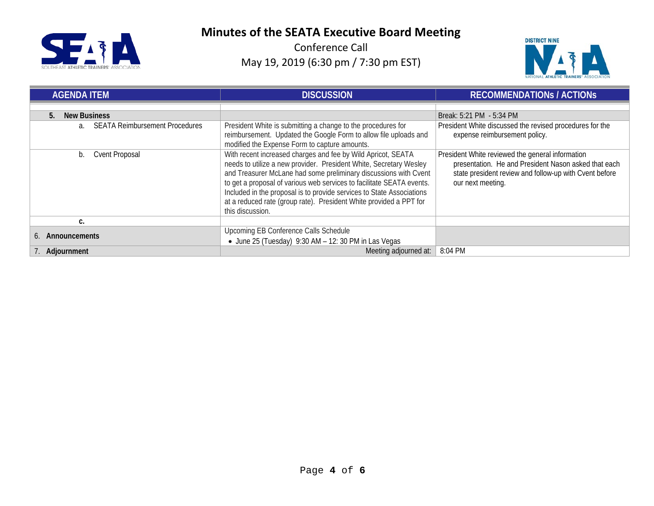



| <b>AGENDA ITEM</b>                          | <b>DISCUSSION</b>                                                                                                                                                                                                                                                                                                                                                                                                                                  | <b>RECOMMENDATIONS / ACTIONS</b>                                                                                                                                                        |  |
|---------------------------------------------|----------------------------------------------------------------------------------------------------------------------------------------------------------------------------------------------------------------------------------------------------------------------------------------------------------------------------------------------------------------------------------------------------------------------------------------------------|-----------------------------------------------------------------------------------------------------------------------------------------------------------------------------------------|--|
|                                             |                                                                                                                                                                                                                                                                                                                                                                                                                                                    |                                                                                                                                                                                         |  |
| <b>New Business</b><br>5.                   |                                                                                                                                                                                                                                                                                                                                                                                                                                                    | Break: 5:21 PM - 5:34 PM                                                                                                                                                                |  |
| <b>SEATA Reimbursement Procedures</b><br>a. | President White is submitting a change to the procedures for                                                                                                                                                                                                                                                                                                                                                                                       | President White discussed the revised procedures for the                                                                                                                                |  |
|                                             | reimbursement. Updated the Google Form to allow file uploads and                                                                                                                                                                                                                                                                                                                                                                                   | expense reimbursement policy.                                                                                                                                                           |  |
|                                             | modified the Expense Form to capture amounts.                                                                                                                                                                                                                                                                                                                                                                                                      |                                                                                                                                                                                         |  |
| <b>Cvent Proposal</b><br>b.                 | With recent increased charges and fee by Wild Apricot, SEATA<br>needs to utilize a new provider. President White, Secretary Wesley<br>and Treasurer McLane had some preliminary discussions with Cvent<br>to get a proposal of various web services to facilitate SEATA events.<br>Included in the proposal is to provide services to State Associations<br>at a reduced rate (group rate). President White provided a PPT for<br>this discussion. | President White reviewed the general information<br>presentation. He and President Nason asked that each<br>state president review and follow-up with Cvent before<br>our next meeting. |  |
| C.                                          |                                                                                                                                                                                                                                                                                                                                                                                                                                                    |                                                                                                                                                                                         |  |
| 6. Announcements                            | Upcoming EB Conference Calls Schedule                                                                                                                                                                                                                                                                                                                                                                                                              |                                                                                                                                                                                         |  |
|                                             | $\bullet$ June 25 (Tuesday) 9:30 AM $-$ 12: 30 PM in Las Vegas                                                                                                                                                                                                                                                                                                                                                                                     |                                                                                                                                                                                         |  |
| Adjournment                                 | Meeting adjourned at:                                                                                                                                                                                                                                                                                                                                                                                                                              | 8:04 PM                                                                                                                                                                                 |  |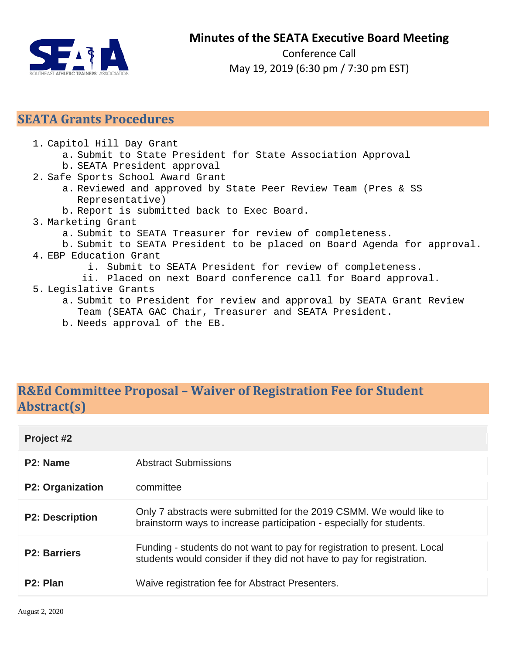

Conference Call May 19, 2019 (6:30 pm / 7:30 pm EST)

### **SEATA Grants Procedures**

- 1. Capitol Hill Day Grant
	- a. Submit to State President for State Association Approval
	- b. SEATA President approval
- 2. Safe Sports School Award Grant
	- a. Reviewed and approved by State Peer Review Team (Pres & SS Representative)
	- b. Report is submitted back to Exec Board.
- 3. Marketing Grant
	- a. Submit to SEATA Treasurer for review of completeness.
- b. Submit to SEATA President to be placed on Board Agenda for approval. 4. EBP Education Grant
	- i. Submit to SEATA President for review of completeness.
	- ii. Placed on next Board conference call for Board approval.

#### 5. Legislative Grants

- a. Submit to President for review and approval by SEATA Grant Review Team (SEATA GAC Chair, Treasurer and SEATA President.
- b. Needs approval of the EB.

## **R&Ed Committee Proposal – Waiver of Registration Fee for Student Abstract(s)**

| Project #2              |                                                                                                                                                   |
|-------------------------|---------------------------------------------------------------------------------------------------------------------------------------------------|
| P <sub>2</sub> : Name   | Abstract Submissions                                                                                                                              |
| <b>P2: Organization</b> | committee                                                                                                                                         |
| <b>P2: Description</b>  | Only 7 abstracts were submitted for the 2019 CSMM. We would like to<br>brainstorm ways to increase participation - especially for students.       |
| <b>P2: Barriers</b>     | Funding - students do not want to pay for registration to present. Local<br>students would consider if they did not have to pay for registration. |
| P <sub>2</sub> : Plan   | Waive registration fee for Abstract Presenters.                                                                                                   |